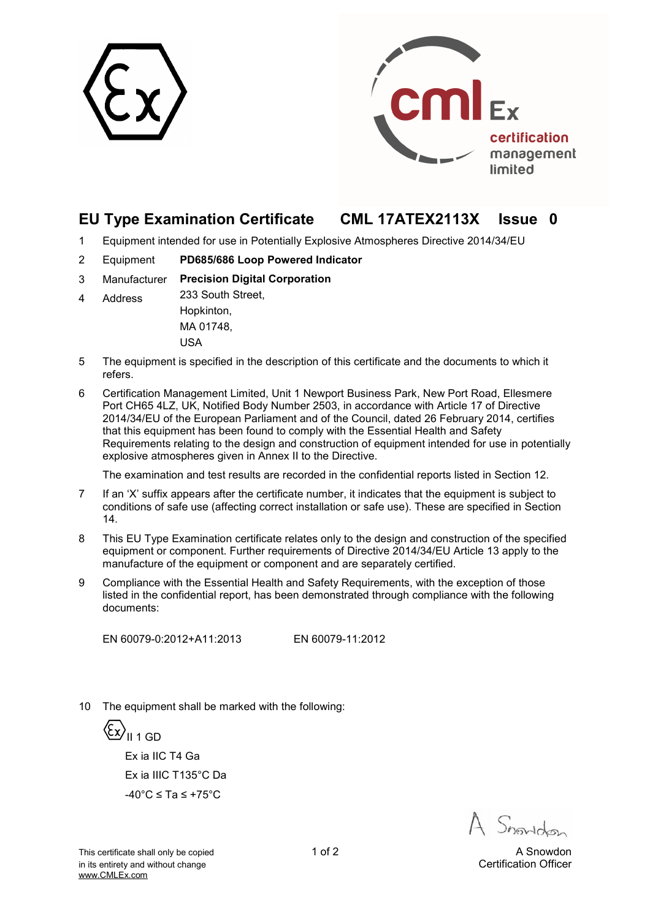



# **EU Type Examination Certificate CML 17ATEX2113X Issue 0**

- 1 Equipment intended for use in Potentially Explosive Atmospheres Directive 2014/34/EU
- 2 Equipment **PD685/686 Loop Powered Indicator**
- 3 Manufacturer **Precision Digital Corporation**
- 4 Address 233 South Street, Hopkinton,

MA 01748, USA

- 5 The equipment is specified in the description of this certificate and the documents to which it refers.
- 6 Certification Management Limited, Unit 1 Newport Business Park, New Port Road, Ellesmere Port CH65 4LZ, UK, Notified Body Number 2503, in accordance with Article 17 of Directive 2014/34/EU of the European Parliament and of the Council, dated 26 February 2014, certifies that this equipment has been found to comply with the Essential Health and Safety Requirements relating to the design and construction of equipment intended for use in potentially explosive atmospheres given in Annex II to the Directive.

The examination and test results are recorded in the confidential reports listed in Section 12.

- 7 If an 'X' suffix appears after the certificate number, it indicates that the equipment is subject to conditions of safe use (affecting correct installation or safe use). These are specified in Section 14.
- 8 This EU Type Examination certificate relates only to the design and construction of the specified equipment or component. Further requirements of Directive 2014/34/EU Article 13 apply to the manufacture of the equipment or component and are separately certified.
- 9 Compliance with the Essential Health and Safety Requirements, with the exception of those listed in the confidential report, has been demonstrated through compliance with the following documents:

EN 60079-0:2012+A11:2013 EN 60079-11:2012

10 The equipment shall be marked with the following:

{ξ<u>x</u>}<sub>II 1 GD</sub> Ex ia IIC T4 Ga Ex ia IIIC T135°C Da -40°C ≤ Ta ≤ +75°C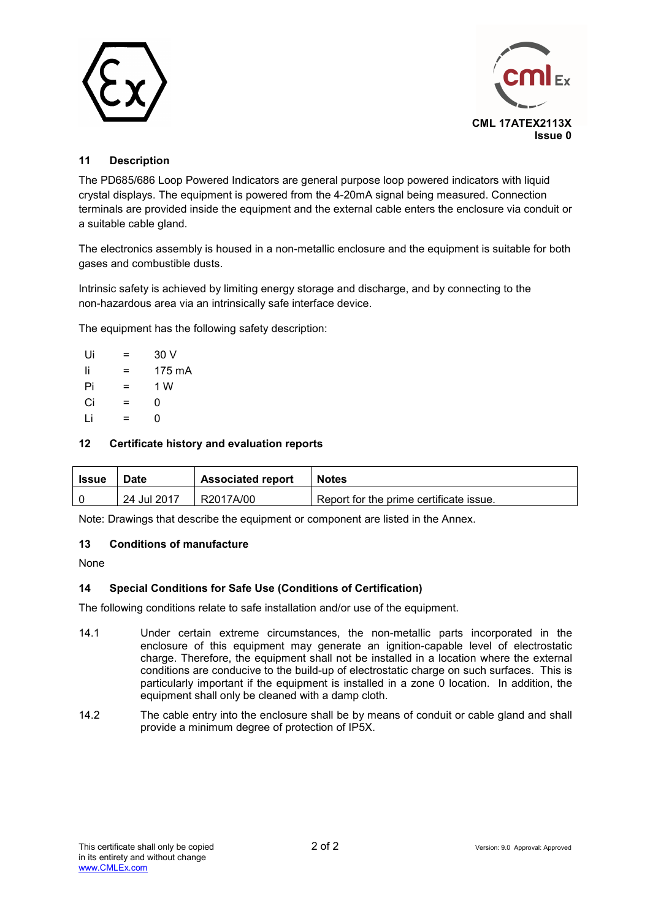



### **11 Description**

The PD685/686 Loop Powered Indicators are general purpose loop powered indicators with liquid crystal displays. The equipment is powered from the 4-20mA signal being measured. Connection terminals are provided inside the equipment and the external cable enters the enclosure via conduit or a suitable cable gland.

The electronics assembly is housed in a non-metallic enclosure and the equipment is suitable for both gases and combustible dusts.

Intrinsic safety is achieved by limiting energy storage and discharge, and by connecting to the non-hazardous area via an intrinsically safe interface device.

The equipment has the following safety description:

| Ui | =   | 30 V   |
|----|-----|--------|
| Ιi | =   | 175 mA |
| Pi | =   | 1 W    |
| Ci | $=$ | 0      |
| Ιi | =   | ი      |

#### **12 Certificate history and evaluation reports**

| <b>Issue</b> | Date        | <b>Associated report</b> | <b>Notes</b>                            |
|--------------|-------------|--------------------------|-----------------------------------------|
|              | 24 Jul 2017 | R2017A/00                | Report for the prime certificate issue. |

Note: Drawings that describe the equipment or component are listed in the Annex.

#### **13 Conditions of manufacture**

None

### **14 Special Conditions for Safe Use (Conditions of Certification)**

The following conditions relate to safe installation and/or use of the equipment.

- 14.1 Under certain extreme circumstances, the non-metallic parts incorporated in the enclosure of this equipment may generate an ignition-capable level of electrostatic charge. Therefore, the equipment shall not be installed in a location where the external conditions are conducive to the build-up of electrostatic charge on such surfaces. This is particularly important if the equipment is installed in a zone 0 location. In addition, the equipment shall only be cleaned with a damp cloth.
- 14.2 The cable entry into the enclosure shall be by means of conduit or cable gland and shall provide a minimum degree of protection of IP5X.